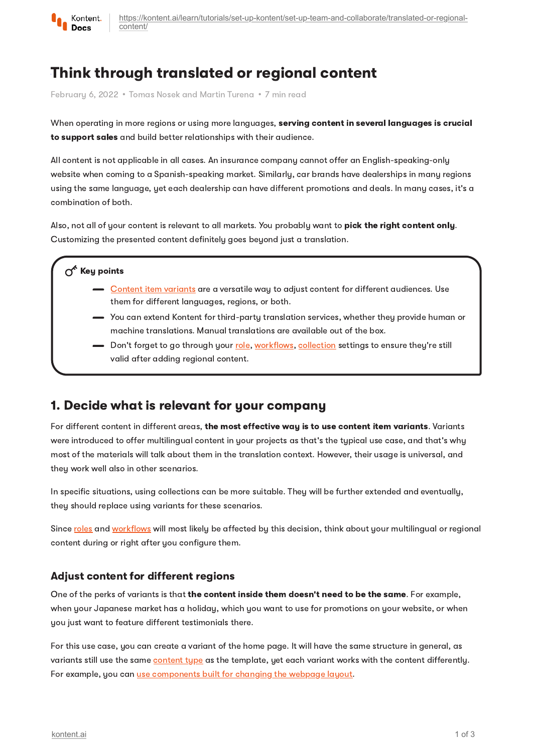

[https://kontent.ai/learn/tutorials/set-up-kontent/set-up-team-and-collaborate/translated-or-regional](https://kontent.ai/learn/tutorials/set-up-kontent/set-up-team-and-collaborate/translated-or-regional-content/)content/

# Think through translated or regional content

February 6, 2022 • Tomas Nosek and Martin Turena • 7 min read

When operating in more regions or using more languages, serving content in several languages is crucial to support sales and build better relationships with their audience.

All content is not applicable in all cases. An insurance company cannot offer an English-speaking-only website when coming to a Spanish-speaking market. Similarly, car brands have dealerships in many regions using the same language, yet each dealership can have different promotions and deals. In many cases, it's a combination of both.

Also, not all of your content is relevant to all markets. You probably want to pick the right content only. Customizing the presented content definitely goes beyond just a translation.

### $\sigma^*$  Key points

- [Content](https://kontent.ai/learn/tutorials/write-and-collaborate/create-multilingual-content/translate-content-items/) item variants are a versatile way to adjust content for different audiences. Use them for different languages, regions, or both.
- You can extend Kontent for third-party translation services, whether they provide human or machine translations. Manual translations are available out of the box.
- Don't forget to go through your <u>[role](https://kontent.ai/learn/tutorials/set-up-kontent/set-up-team-and-collaborate/roles/), [workflows](https://kontent.ai/learn/tutorials/set-up-kontent/set-up-team-and-collaborate/workflows/), [collection](https://kontent.ai/learn/tutorials/set-up-kontent/set-up-your-project/collections/)</u> settings to ensure they're still valid after adding regional content.

## 1. Decide what is relevant for your company

For different content in different areas, the most effective way is to use content item variants. Variants were introduced to offer multilingual content in your projects as that's the typical use case, and that's why most of the materials will talk about them in the translation context. However, their usage is universal, and they work well also in other scenarios.

In specific situations, using collections can be more suitable. They will be further extended and eventually, they should replace using variants for these scenarios.

Since [roles](https://kontent.ai/learn/tutorials/set-up-kontent/set-up-team-and-collaborate/roles/) and [workflows](https://kontent.ai/learn/tutorials/set-up-kontent/set-up-team-and-collaborate/workflows/) will most likely be affected by this decision, think about your multilingual or regional content during or right after you configure them.

### Adjust content for different regions

One of the perks of variants is that the content inside them doesn't need to be the same. For example, when your Japanese market has a holiday, which you want to use for promotions on your website, or when you just want to feature different testimonials there.

For this use case, you can create a variant of the home page. It will have the same structure in general, as variants still use the same [content](https://kontent.ai/learn/tutorials/set-up-kontent/content-modeling/what-is-content-modeling/) type as the template, yet each variant works with the content differently. For example, you can use [components](https://kontent.ai/learn/tutorials/set-up-kontent/content-modeling/modeling-inspiration-by-others/#a-format-content-with-voice-tone) built for changing the webpage layout.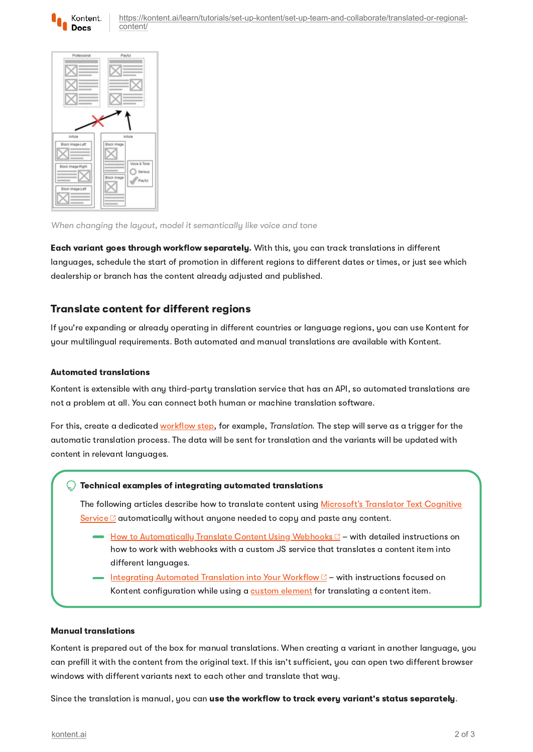

[https://kontent.ai/learn/tutorials/set-up-kontent/set-up-team-and-collaborate/translated-or-regional](https://kontent.ai/learn/tutorials/set-up-kontent/set-up-team-and-collaborate/translated-or-regional-content/)content/



When changing the layout, model it semantically like voice and tone

Each variant goes through workflow separately. With this, you can track translations in different languages, schedule the start of promotion in different regions to different dates or times, or just see which dealership or branch has the content already adjusted and published.

### Translate content for different regions

If you're expanding or already operating in different countries or language regions, you can use Kontent for your multilingual requirements. Both automated and manual translations are available with Kontent.

#### Automated translations

Kontent is extensible with any third-party translation service that has an API, so automated translations are not a problem at all. You can connect both human or machine translation software.

For this, create a dedicated [workflow](https://kontent.ai/learn/tutorials/manage-kontent/roles-and-workflow/manage-workflows/) step, for example, Translation. The step will serve as a trigger for the automatic translation process. The data will be sent for translation and the variants will be updated with content in relevant languages.

#### Technical examples of integrating automated translations

The following articles describe how to translate content using Microsoft's Translator Text Cognitive Service  $\mathbb C$  [automatically](https://docs.microsoft.com/en-us/azure/cognitive-services/translator/translator-info-overview) without anyone needed to copy and paste any content.

- $\rightarrow$  How to [Automatically](https://kontent.ai/blog/automatic-translation-using-webhooks) Translate Content Using Webhooks  $\mathbb{C}$  with detailed instructions on how to work with webhooks with a custom JS service that translates a content item into different languages.
- Integrating Automated [Translation](https://kontent.ai/blog/integrating-automated-translation-into-your-workflow) into Your Workflow with instructions focused on Kontent configuration while using a custom [element](https://kontent.ai/learn/tutorials/develop-apps/integrate/content-editing-extensions/) for translating a content item.

#### Manual translations

Kontent is prepared out of the box for manual translations. When creating a variant in another language, you can prefill it with the content from the original text. If this isn't sufficient, you can open two different browser windows with different variants next to each other and translate that way.

Since the translation is manual, you can use the workflow to track every variant's status separately.